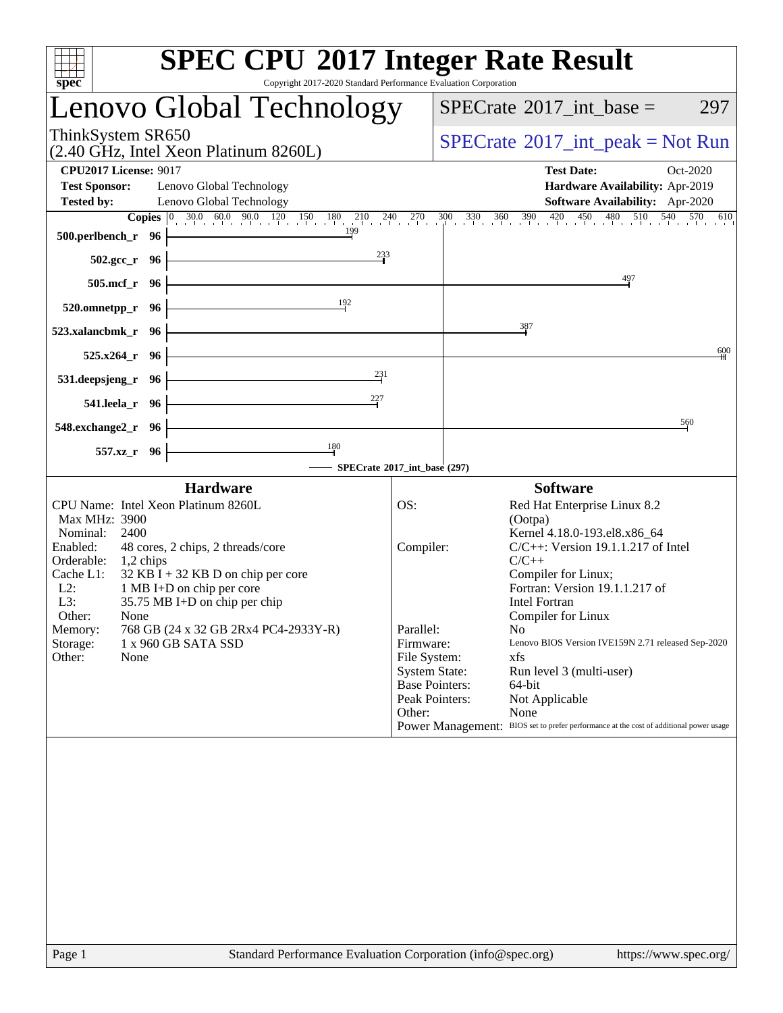| <b>SPEC CPU®2017 Integer Rate Result</b><br>Copyright 2017-2020 Standard Performance Evaluation Corporation<br>spec <sup>®</sup>                                                                                                                                                                                                                                                                                                      |                                                                      |                                                                                                                                                                                                                                                                                                                                                                                                                                                                                                                                                |
|---------------------------------------------------------------------------------------------------------------------------------------------------------------------------------------------------------------------------------------------------------------------------------------------------------------------------------------------------------------------------------------------------------------------------------------|----------------------------------------------------------------------|------------------------------------------------------------------------------------------------------------------------------------------------------------------------------------------------------------------------------------------------------------------------------------------------------------------------------------------------------------------------------------------------------------------------------------------------------------------------------------------------------------------------------------------------|
| Lenovo Global Technology                                                                                                                                                                                                                                                                                                                                                                                                              |                                                                      | $SPECTate$ <sup>®</sup> 2017_int_base =<br>297                                                                                                                                                                                                                                                                                                                                                                                                                                                                                                 |
| ThinkSystem SR650<br>(2.40 GHz, Intel Xeon Platinum 8260L)                                                                                                                                                                                                                                                                                                                                                                            |                                                                      | $SPECTate^{\circ}2017\_int\_peak = Not Run$                                                                                                                                                                                                                                                                                                                                                                                                                                                                                                    |
| <b>CPU2017 License: 9017</b><br><b>Test Sponsor:</b><br>Lenovo Global Technology<br><b>Tested by:</b><br>Lenovo Global Technology                                                                                                                                                                                                                                                                                                     |                                                                      | <b>Test Date:</b><br>Oct-2020<br>Hardware Availability: Apr-2019<br>Software Availability: Apr-2020<br><b>Copies</b> $\begin{bmatrix} 0 & 30.0 & 60.0 & 90.0 & 120 & 150 & 180 & 210 & 240 & 270 & 300 & 330 & 360 & 390 & 420 & 450 & 480 & 510 & 540 & 570 & 610 \end{bmatrix}$                                                                                                                                                                                                                                                              |
| 199<br>500.perlbench_r 96<br>233<br>$502.\text{sec}_r$ 96                                                                                                                                                                                                                                                                                                                                                                             |                                                                      |                                                                                                                                                                                                                                                                                                                                                                                                                                                                                                                                                |
| 505.mcf_r 96<br>192                                                                                                                                                                                                                                                                                                                                                                                                                   |                                                                      | 497                                                                                                                                                                                                                                                                                                                                                                                                                                                                                                                                            |
| 520.omnetpp_r 96<br>523.xalancbmk r 96                                                                                                                                                                                                                                                                                                                                                                                                |                                                                      | 387                                                                                                                                                                                                                                                                                                                                                                                                                                                                                                                                            |
| $525.x264$ r 96                                                                                                                                                                                                                                                                                                                                                                                                                       |                                                                      | 600                                                                                                                                                                                                                                                                                                                                                                                                                                                                                                                                            |
| 231<br>531.deepsjeng_r 96<br>227<br>541.leela_r 96                                                                                                                                                                                                                                                                                                                                                                                    |                                                                      |                                                                                                                                                                                                                                                                                                                                                                                                                                                                                                                                                |
| 548.exchange2_r 96                                                                                                                                                                                                                                                                                                                                                                                                                    |                                                                      | 560                                                                                                                                                                                                                                                                                                                                                                                                                                                                                                                                            |
| 180<br>557.xz_r 96<br>- SPECrate®2017_int_base (297)                                                                                                                                                                                                                                                                                                                                                                                  |                                                                      |                                                                                                                                                                                                                                                                                                                                                                                                                                                                                                                                                |
| <b>Hardware</b><br>CPU Name: Intel Xeon Platinum 8260L<br>Max MHz: 3900<br>Nominal:<br>2400<br>Enabled:<br>48 cores, 2 chips, 2 threads/core<br>Orderable:<br>1,2 chips<br>Cache L1:<br>$32$ KB I + 32 KB D on chip per core<br>$L2$ :<br>1 MB I+D on chip per core<br>L3:<br>35.75 MB I+D on chip per chip<br>Other:<br>None<br>768 GB (24 x 32 GB 2Rx4 PC4-2933Y-R)<br>Memory:<br>Storage:<br>1 x 960 GB SATA SSD<br>Other:<br>None | OS:<br>Compiler:<br>Parallel:<br>Firmware:<br>File System:<br>Other: | <b>Software</b><br>Red Hat Enterprise Linux 8.2<br>(Ootpa)<br>Kernel 4.18.0-193.el8.x86_64<br>$C/C++$ : Version 19.1.1.217 of Intel<br>$C/C++$<br>Compiler for Linux;<br>Fortran: Version 19.1.1.217 of<br>Intel Fortran<br>Compiler for Linux<br>No<br>Lenovo BIOS Version IVE159N 2.71 released Sep-2020<br>xfs<br><b>System State:</b><br>Run level 3 (multi-user)<br><b>Base Pointers:</b><br>64-bit<br>Peak Pointers:<br>Not Applicable<br>None<br>Power Management: BIOS set to prefer performance at the cost of additional power usage |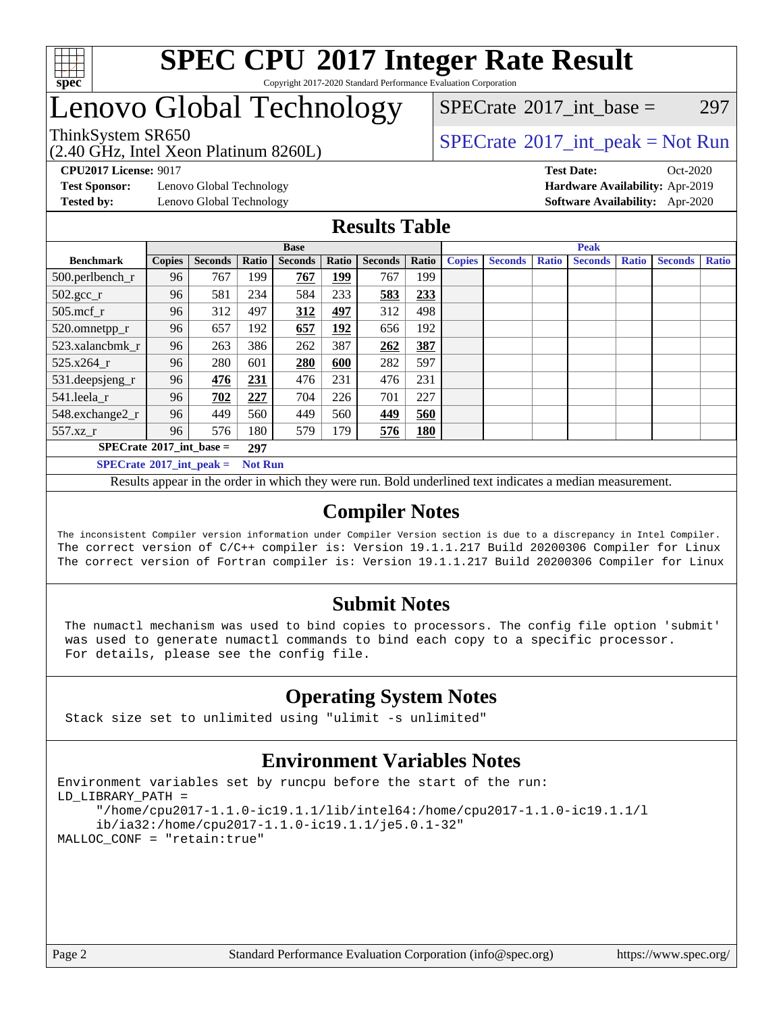

#### **[SPEC CPU](http://www.spec.org/auto/cpu2017/Docs/result-fields.html#SPECCPU2017IntegerRateResult)[2017 Integer Rate Result](http://www.spec.org/auto/cpu2017/Docs/result-fields.html#SPECCPU2017IntegerRateResult)** Copyright 2017-2020 Standard Performance Evaluation Corporation

### Lenovo Global Technology

(2.40 GHz, Intel Xeon Platinum 8260L)

ThinkSystem SR650<br>  $SPECTR_{1.}$  [SPECrate](http://www.spec.org/auto/cpu2017/Docs/result-fields.html#SPECrate2017intpeak)®[2017\\_int\\_peak = N](http://www.spec.org/auto/cpu2017/Docs/result-fields.html#SPECrate2017intpeak)ot Run

 $SPECTate$ <sup>®</sup>[2017\\_int\\_base =](http://www.spec.org/auto/cpu2017/Docs/result-fields.html#SPECrate2017intbase) 297

**[Test Sponsor:](http://www.spec.org/auto/cpu2017/Docs/result-fields.html#TestSponsor)** Lenovo Global Technology **[Hardware Availability:](http://www.spec.org/auto/cpu2017/Docs/result-fields.html#HardwareAvailability)** Apr-2019

**[CPU2017 License:](http://www.spec.org/auto/cpu2017/Docs/result-fields.html#CPU2017License)** 9017 **[Test Date:](http://www.spec.org/auto/cpu2017/Docs/result-fields.html#TestDate)** Oct-2020 **[Tested by:](http://www.spec.org/auto/cpu2017/Docs/result-fields.html#Testedby)** Lenovo Global Technology **[Software Availability:](http://www.spec.org/auto/cpu2017/Docs/result-fields.html#SoftwareAvailability)** Apr-2020

#### **[Results Table](http://www.spec.org/auto/cpu2017/Docs/result-fields.html#ResultsTable)**

|                                                     | <b>Base</b>   |                |       |                |             | <b>Peak</b>    |            |               |                |              |                |              |                |              |
|-----------------------------------------------------|---------------|----------------|-------|----------------|-------------|----------------|------------|---------------|----------------|--------------|----------------|--------------|----------------|--------------|
| <b>Benchmark</b>                                    | <b>Copies</b> | <b>Seconds</b> | Ratio | <b>Seconds</b> | Ratio       | <b>Seconds</b> | Ratio      | <b>Copies</b> | <b>Seconds</b> | <b>Ratio</b> | <b>Seconds</b> | <b>Ratio</b> | <b>Seconds</b> | <b>Ratio</b> |
| 500.perlbench_r                                     | 96            | 767            | 199   | 767            | <u> 199</u> | 767            | 199        |               |                |              |                |              |                |              |
| $502.\text{gcc}_r$                                  | 96            | 581            | 234   | 584            | 233         | 583            | 233        |               |                |              |                |              |                |              |
| $505$ .mcf r                                        | 96            | 312            | 497   | 312            | <u>497</u>  | 312            | 498        |               |                |              |                |              |                |              |
| 520.omnetpp_r                                       | 96            | 657            | 192   | 657            | <u> 192</u> | 656            | 192        |               |                |              |                |              |                |              |
| 523.xalancbmk r                                     | 96            | 263            | 386   | 262            | 387         | 262            | 387        |               |                |              |                |              |                |              |
| 525.x264 r                                          | 96            | 280            | 601   | 280            | 600         | 282            | 597        |               |                |              |                |              |                |              |
| 531.deepsjeng_r                                     | 96            | 476            | 231   | 476            | 231         | 476            | 231        |               |                |              |                |              |                |              |
| 541.leela r                                         | 96            | 702            | 227   | 704            | 226         | 701            | 227        |               |                |              |                |              |                |              |
| 548.exchange2_r                                     | 96            | 449            | 560   | 449            | 560         | 449            | 560        |               |                |              |                |              |                |              |
| 557.xz r                                            | 96            | 576            | 180   | 579            | 179         | 576            | <b>180</b> |               |                |              |                |              |                |              |
| $SPECrate^{\circ}2017$ int base =<br>297            |               |                |       |                |             |                |            |               |                |              |                |              |                |              |
| $SPECrate^{\circ}2017$ int peak =<br><b>Not Run</b> |               |                |       |                |             |                |            |               |                |              |                |              |                |              |

Results appear in the [order in which they were run](http://www.spec.org/auto/cpu2017/Docs/result-fields.html#RunOrder). Bold underlined text [indicates a median measurement](http://www.spec.org/auto/cpu2017/Docs/result-fields.html#Median).

### **[Compiler Notes](http://www.spec.org/auto/cpu2017/Docs/result-fields.html#CompilerNotes)**

The inconsistent Compiler version information under Compiler Version section is due to a discrepancy in Intel Compiler. The correct version of C/C++ compiler is: Version 19.1.1.217 Build 20200306 Compiler for Linux The correct version of Fortran compiler is: Version 19.1.1.217 Build 20200306 Compiler for Linux

### **[Submit Notes](http://www.spec.org/auto/cpu2017/Docs/result-fields.html#SubmitNotes)**

 The numactl mechanism was used to bind copies to processors. The config file option 'submit' was used to generate numactl commands to bind each copy to a specific processor. For details, please see the config file.

### **[Operating System Notes](http://www.spec.org/auto/cpu2017/Docs/result-fields.html#OperatingSystemNotes)**

Stack size set to unlimited using "ulimit -s unlimited"

### **[Environment Variables Notes](http://www.spec.org/auto/cpu2017/Docs/result-fields.html#EnvironmentVariablesNotes)**

```
Environment variables set by runcpu before the start of the run:
LD_LIBRARY_PATH =
      "/home/cpu2017-1.1.0-ic19.1.1/lib/intel64:/home/cpu2017-1.1.0-ic19.1.1/l
      ib/ia32:/home/cpu2017-1.1.0-ic19.1.1/je5.0.1-32"
MALLOC_CONF = "retain:true"
```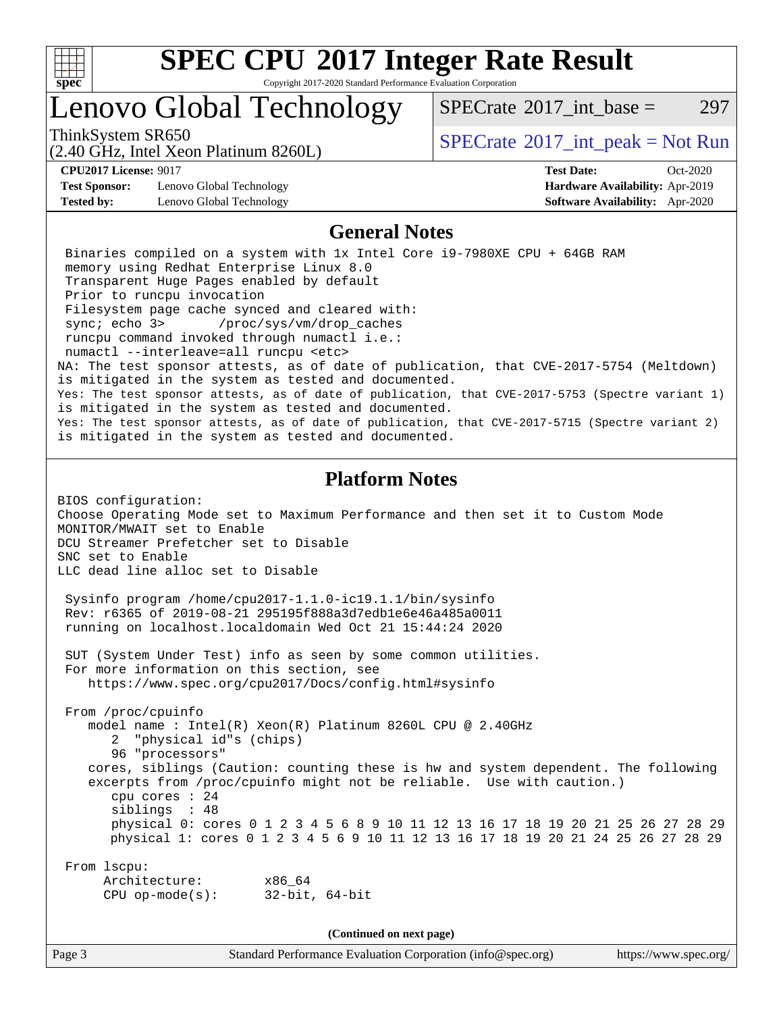

Copyright 2017-2020 Standard Performance Evaluation Corporation

### Lenovo Global Technology

ThinkSystem SR650<br>  $SPECTR_{1.}$  [SPECrate](http://www.spec.org/auto/cpu2017/Docs/result-fields.html#SPECrate2017intpeak)®[2017\\_int\\_peak = N](http://www.spec.org/auto/cpu2017/Docs/result-fields.html#SPECrate2017intpeak)ot Run

 $SPECTate^{\circ}2017$  int base = 297

(2.40 GHz, Intel Xeon Platinum 8260L)

**[Test Sponsor:](http://www.spec.org/auto/cpu2017/Docs/result-fields.html#TestSponsor)** Lenovo Global Technology **[Hardware Availability:](http://www.spec.org/auto/cpu2017/Docs/result-fields.html#HardwareAvailability)** Apr-2019 **[Tested by:](http://www.spec.org/auto/cpu2017/Docs/result-fields.html#Testedby)** Lenovo Global Technology **[Software Availability:](http://www.spec.org/auto/cpu2017/Docs/result-fields.html#SoftwareAvailability)** Apr-2020

**[CPU2017 License:](http://www.spec.org/auto/cpu2017/Docs/result-fields.html#CPU2017License)** 9017 **[Test Date:](http://www.spec.org/auto/cpu2017/Docs/result-fields.html#TestDate)** Oct-2020

#### **[General Notes](http://www.spec.org/auto/cpu2017/Docs/result-fields.html#GeneralNotes)**

 Binaries compiled on a system with 1x Intel Core i9-7980XE CPU + 64GB RAM memory using Redhat Enterprise Linux 8.0 Transparent Huge Pages enabled by default Prior to runcpu invocation Filesystem page cache synced and cleared with: sync; echo 3> /proc/sys/vm/drop\_caches runcpu command invoked through numactl i.e.: numactl --interleave=all runcpu <etc> NA: The test sponsor attests, as of date of publication, that CVE-2017-5754 (Meltdown) is mitigated in the system as tested and documented. Yes: The test sponsor attests, as of date of publication, that CVE-2017-5753 (Spectre variant 1) is mitigated in the system as tested and documented. Yes: The test sponsor attests, as of date of publication, that CVE-2017-5715 (Spectre variant 2) is mitigated in the system as tested and documented.

### **[Platform Notes](http://www.spec.org/auto/cpu2017/Docs/result-fields.html#PlatformNotes)**

BIOS configuration: Choose Operating Mode set to Maximum Performance and then set it to Custom Mode MONITOR/MWAIT set to Enable DCU Streamer Prefetcher set to Disable SNC set to Enable LLC dead line alloc set to Disable

 Sysinfo program /home/cpu2017-1.1.0-ic19.1.1/bin/sysinfo Rev: r6365 of 2019-08-21 295195f888a3d7edb1e6e46a485a0011 running on localhost.localdomain Wed Oct 21 15:44:24 2020

 SUT (System Under Test) info as seen by some common utilities. For more information on this section, see <https://www.spec.org/cpu2017/Docs/config.html#sysinfo>

 From /proc/cpuinfo model name : Intel(R) Xeon(R) Platinum 8260L CPU @ 2.40GHz 2 "physical id"s (chips) 96 "processors" cores, siblings (Caution: counting these is hw and system dependent. The following excerpts from /proc/cpuinfo might not be reliable. Use with caution.) cpu cores : 24 siblings : 48 physical 0: cores 0 1 2 3 4 5 6 8 9 10 11 12 13 16 17 18 19 20 21 25 26 27 28 29 physical 1: cores 0 1 2 3 4 5 6 9 10 11 12 13 16 17 18 19 20 21 24 25 26 27 28 29

 From lscpu: Architecture: x86\_64 CPU op-mode(s): 32-bit, 64-bit

**(Continued on next page)**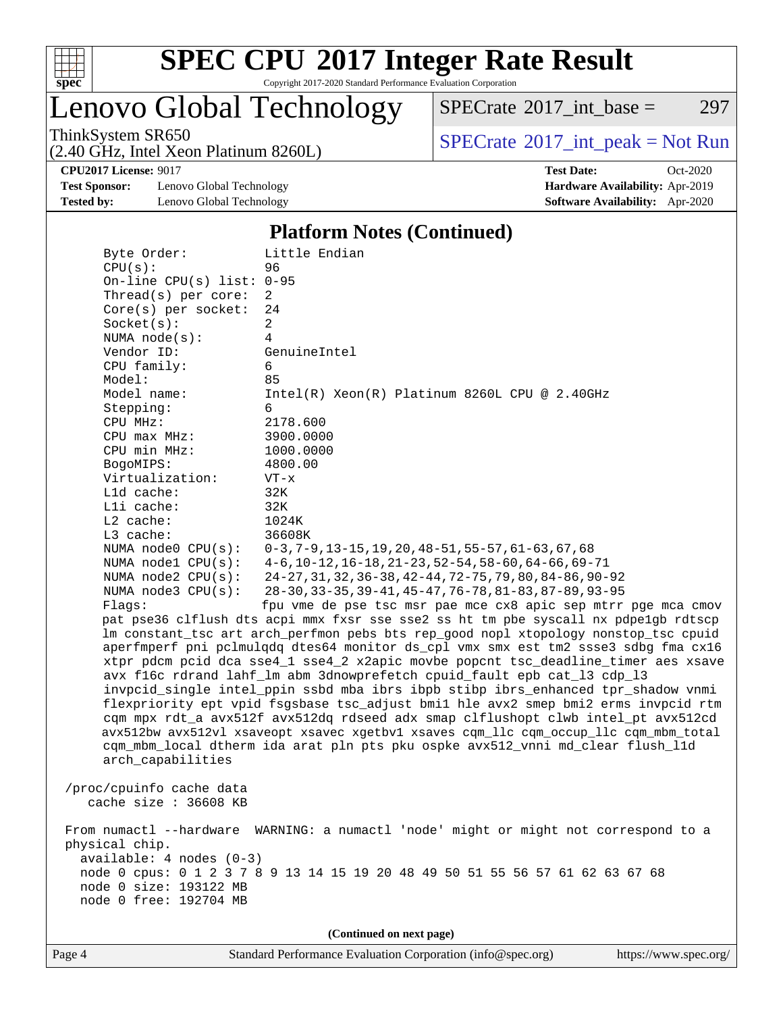

Copyright 2017-2020 Standard Performance Evaluation Corporation

Lenovo Global Technology

 $SPECTate@2017_int\_base = 297$ 

(2.40 GHz, Intel Xeon Platinum 8260L)

ThinkSystem SR650<br>  $(2.40 \text{ GHz. Intel Yoon Plotinum } 8260)$  [SPECrate](http://www.spec.org/auto/cpu2017/Docs/result-fields.html#SPECrate2017intpeak)®[2017\\_int\\_peak = N](http://www.spec.org/auto/cpu2017/Docs/result-fields.html#SPECrate2017intpeak)ot Run

**[Test Sponsor:](http://www.spec.org/auto/cpu2017/Docs/result-fields.html#TestSponsor)** Lenovo Global Technology **[Hardware Availability:](http://www.spec.org/auto/cpu2017/Docs/result-fields.html#HardwareAvailability)** Apr-2019 **[Tested by:](http://www.spec.org/auto/cpu2017/Docs/result-fields.html#Testedby)** Lenovo Global Technology **[Software Availability:](http://www.spec.org/auto/cpu2017/Docs/result-fields.html#SoftwareAvailability)** Apr-2020

**[CPU2017 License:](http://www.spec.org/auto/cpu2017/Docs/result-fields.html#CPU2017License)** 9017 **[Test Date:](http://www.spec.org/auto/cpu2017/Docs/result-fields.html#TestDate)** Oct-2020

#### **[Platform Notes \(Continued\)](http://www.spec.org/auto/cpu2017/Docs/result-fields.html#PlatformNotes)**

| Byte Order:                                                                                            | Little Endian                                                                        |  |  |  |  |
|--------------------------------------------------------------------------------------------------------|--------------------------------------------------------------------------------------|--|--|--|--|
| CPU(s):                                                                                                | 96                                                                                   |  |  |  |  |
| On-line CPU(s) list: $0-95$                                                                            |                                                                                      |  |  |  |  |
| Thread(s) per core:                                                                                    | $\overline{2}$                                                                       |  |  |  |  |
| Core(s) per socket:                                                                                    | 24                                                                                   |  |  |  |  |
| Socket(s):                                                                                             | 2                                                                                    |  |  |  |  |
| NUMA $node(s):$                                                                                        | 4                                                                                    |  |  |  |  |
| Vendor ID:                                                                                             | GenuineIntel                                                                         |  |  |  |  |
| CPU family:                                                                                            | 6                                                                                    |  |  |  |  |
| Model:                                                                                                 | 85                                                                                   |  |  |  |  |
| Model name:                                                                                            | $Intel(R) Xeon(R) Platinum 8260L CPU @ 2.40GHz$                                      |  |  |  |  |
| Stepping:                                                                                              | 6                                                                                    |  |  |  |  |
| CPU MHz:                                                                                               | 2178.600                                                                             |  |  |  |  |
| $CPU$ max $MHz$ :                                                                                      | 3900.0000                                                                            |  |  |  |  |
| CPU min MHz:                                                                                           | 1000.0000                                                                            |  |  |  |  |
| BogoMIPS:                                                                                              | 4800.00                                                                              |  |  |  |  |
| Virtualization:<br>$L1d$ cache:                                                                        | $VT - x$                                                                             |  |  |  |  |
| Lli cache:                                                                                             | 32K<br>32K                                                                           |  |  |  |  |
| $L2$ cache:                                                                                            | 1024K                                                                                |  |  |  |  |
| L3 cache:                                                                                              | 36608K                                                                               |  |  |  |  |
| NUMA $node0$ $CPU(s)$ :                                                                                | $0-3, 7-9, 13-15, 19, 20, 48-51, 55-57, 61-63, 67, 68$                               |  |  |  |  |
| NUMA nodel $CPU(s):$                                                                                   | $4-6$ , 10-12, 16-18, 21-23, 52-54, 58-60, 64-66, 69-71                              |  |  |  |  |
| NUMA $node2$ $CPU(s)$ :                                                                                | 24-27, 31, 32, 36-38, 42-44, 72-75, 79, 80, 84-86, 90-92                             |  |  |  |  |
| NUMA $node3$ CPU $(s)$ :                                                                               | 28-30, 33-35, 39-41, 45-47, 76-78, 81-83, 87-89, 93-95                               |  |  |  |  |
| Flaqs:                                                                                                 | fpu vme de pse tsc msr pae mce cx8 apic sep mtrr pge mca cmov                        |  |  |  |  |
|                                                                                                        | pat pse36 clflush dts acpi mmx fxsr sse sse2 ss ht tm pbe syscall nx pdpelgb rdtscp  |  |  |  |  |
|                                                                                                        | lm constant_tsc art arch_perfmon pebs bts rep_good nopl xtopology nonstop_tsc cpuid  |  |  |  |  |
|                                                                                                        | aperfmperf pni pclmulqdq dtes64 monitor ds_cpl vmx smx est tm2 ssse3 sdbg fma cx16   |  |  |  |  |
|                                                                                                        | xtpr pdcm pcid dca sse4_1 sse4_2 x2apic movbe popcnt tsc_deadline_timer aes xsave    |  |  |  |  |
|                                                                                                        | avx f16c rdrand lahf_lm abm 3dnowprefetch cpuid_fault epb cat_13 cdp_13              |  |  |  |  |
|                                                                                                        | invpcid_single intel_ppin ssbd mba ibrs ibpb stibp ibrs_enhanced tpr_shadow vnmi     |  |  |  |  |
| flexpriority ept vpid fsgsbase tsc_adjust bmil hle avx2 smep bmi2 erms invpcid rtm                     |                                                                                      |  |  |  |  |
| cqm mpx rdt_a avx512f avx512dq rdseed adx smap clflushopt clwb intel_pt avx512cd                       |                                                                                      |  |  |  |  |
|                                                                                                        | avx512bw avx512vl xsaveopt xsavec xgetbv1 xsaves cqm_llc cqm_occup_llc cqm_mbm_total |  |  |  |  |
|                                                                                                        | cqm_mbm_local dtherm ida arat pln pts pku ospke avx512_vnni md_clear flush_l1d       |  |  |  |  |
| arch_capabilities                                                                                      |                                                                                      |  |  |  |  |
|                                                                                                        |                                                                                      |  |  |  |  |
| /proc/cpuinfo cache data                                                                               |                                                                                      |  |  |  |  |
| cache size : 36608 KB                                                                                  |                                                                                      |  |  |  |  |
|                                                                                                        |                                                                                      |  |  |  |  |
| From numactl --hardware WARNING: a numactl 'node' might or might not correspond to a<br>physical chip. |                                                                                      |  |  |  |  |
| available: 4 nodes (0-3)                                                                               |                                                                                      |  |  |  |  |
| node 0 cpus: 0 1 2 3 7 8 9 13 14 15 19 20 48 49 50 51 55 56 57 61 62 63 67 68                          |                                                                                      |  |  |  |  |
| node 0 size: 193122 MB                                                                                 |                                                                                      |  |  |  |  |
| node 0 free: 192704 MB                                                                                 |                                                                                      |  |  |  |  |
|                                                                                                        |                                                                                      |  |  |  |  |
| (Continued on next page)                                                                               |                                                                                      |  |  |  |  |
|                                                                                                        |                                                                                      |  |  |  |  |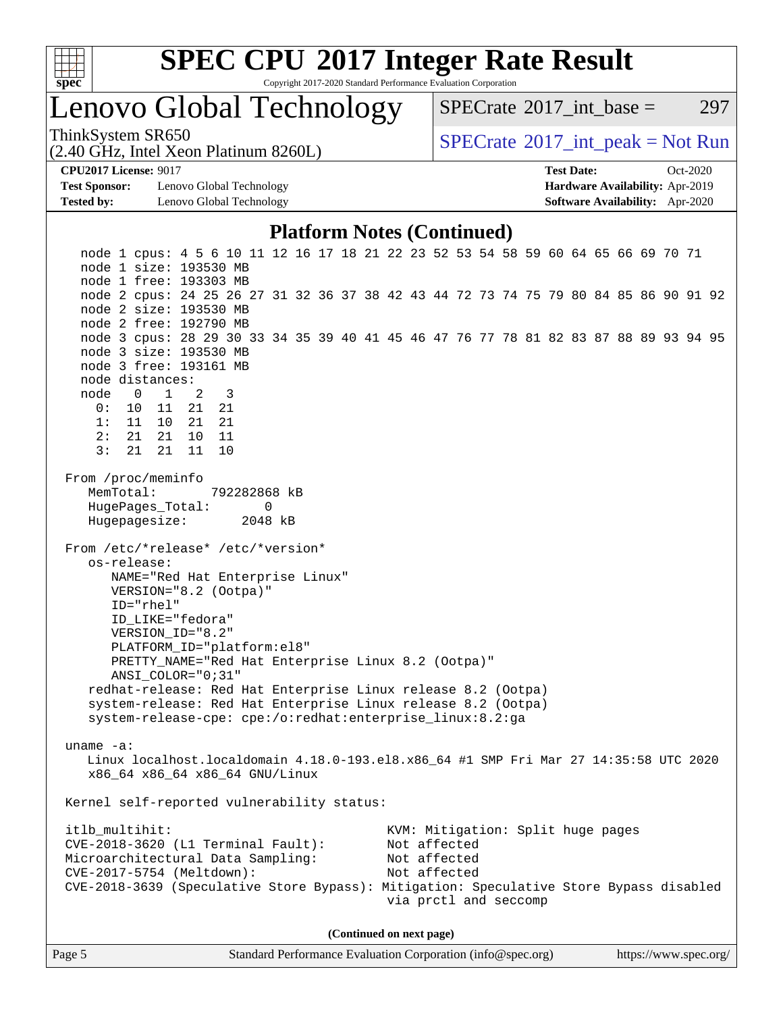

Copyright 2017-2020 Standard Performance Evaluation Corporation

### Lenovo Global Technology

 $SPECTate^{\circ}2017$  int base = 297

(2.40 GHz, Intel Xeon Platinum 8260L)

ThinkSystem SR650<br>  $SPECTR_{1.}$  [SPECrate](http://www.spec.org/auto/cpu2017/Docs/result-fields.html#SPECrate2017intpeak)®[2017\\_int\\_peak = N](http://www.spec.org/auto/cpu2017/Docs/result-fields.html#SPECrate2017intpeak)ot Run

**[Test Sponsor:](http://www.spec.org/auto/cpu2017/Docs/result-fields.html#TestSponsor)** Lenovo Global Technology **[Hardware Availability:](http://www.spec.org/auto/cpu2017/Docs/result-fields.html#HardwareAvailability)** Apr-2019 **[Tested by:](http://www.spec.org/auto/cpu2017/Docs/result-fields.html#Testedby)** Lenovo Global Technology **[Software Availability:](http://www.spec.org/auto/cpu2017/Docs/result-fields.html#SoftwareAvailability)** Apr-2020

**[CPU2017 License:](http://www.spec.org/auto/cpu2017/Docs/result-fields.html#CPU2017License)** 9017 **[Test Date:](http://www.spec.org/auto/cpu2017/Docs/result-fields.html#TestDate)** Oct-2020

#### **[Platform Notes \(Continued\)](http://www.spec.org/auto/cpu2017/Docs/result-fields.html#PlatformNotes)**

 node 1 cpus: 4 5 6 10 11 12 16 17 18 21 22 23 52 53 54 58 59 60 64 65 66 69 70 71 node 1 size: 193530 MB node 1 free: 193303 MB node 2 cpus: 24 25 26 27 31 32 36 37 38 42 43 44 72 73 74 75 79 80 84 85 86 90 91 92 node 2 size: 193530 MB node 2 free: 192790 MB node 3 cpus: 28 29 30 33 34 35 39 40 41 45 46 47 76 77 78 81 82 83 87 88 89 93 94 95 node 3 size: 193530 MB node 3 free: 193161 MB node distances: node 0 1 2 3 0: 10 11 21 21 1: 11 10 21 21 2: 21 21 10 11 3: 21 21 11 10 From /proc/meminfo MemTotal: 792282868 kB HugePages\_Total: 0 Hugepagesize: 2048 kB From /etc/\*release\* /etc/\*version\* os-release: NAME="Red Hat Enterprise Linux" VERSION="8.2 (Ootpa)" ID="rhel" ID\_LIKE="fedora" VERSION\_ID="8.2" PLATFORM\_ID="platform:el8" PRETTY\_NAME="Red Hat Enterprise Linux 8.2 (Ootpa)" ANSI\_COLOR="0;31" redhat-release: Red Hat Enterprise Linux release 8.2 (Ootpa) system-release: Red Hat Enterprise Linux release 8.2 (Ootpa) system-release-cpe: cpe:/o:redhat:enterprise\_linux:8.2:ga uname -a: Linux localhost.localdomain 4.18.0-193.el8.x86\_64 #1 SMP Fri Mar 27 14:35:58 UTC 2020 x86\_64 x86\_64 x86\_64 GNU/Linux Kernel self-reported vulnerability status: itlb\_multihit: KVM: Mitigation: Split huge pages CVE-2018-3620 (L1 Terminal Fault): Not affected Microarchitectural Data Sampling: Not affected CVE-2017-5754 (Meltdown): Not affected CVE-2018-3639 (Speculative Store Bypass): Mitigation: Speculative Store Bypass disabled via prctl and seccomp **(Continued on next page)**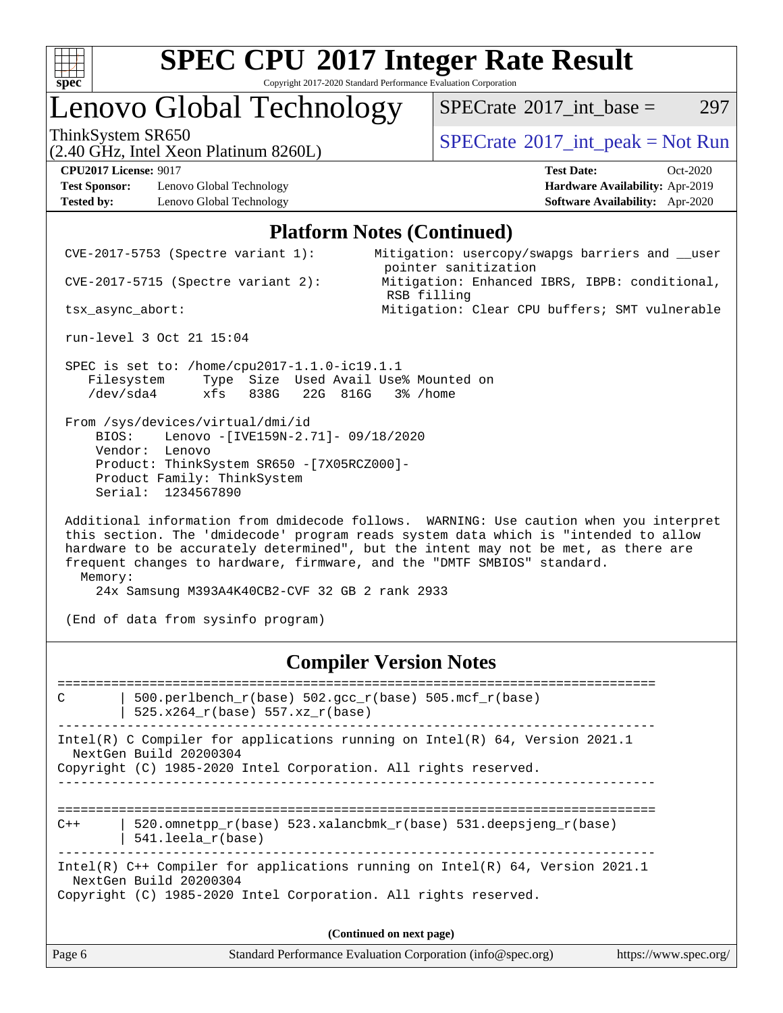

Copyright 2017-2020 Standard Performance Evaluation Corporation

### Lenovo Global Technology

ThinkSystem SR650<br>  $SPECTA = Not Run$ <br>  $SPECTA = Not Run$ 

 $SPECTate^{\circ}2017$  int base = 297

(2.40 GHz, Intel Xeon Platinum 8260L)

Memory:

**[Test Sponsor:](http://www.spec.org/auto/cpu2017/Docs/result-fields.html#TestSponsor)** Lenovo Global Technology **[Hardware Availability:](http://www.spec.org/auto/cpu2017/Docs/result-fields.html#HardwareAvailability)** Apr-2019 **[Tested by:](http://www.spec.org/auto/cpu2017/Docs/result-fields.html#Testedby)** Lenovo Global Technology **[Software Availability:](http://www.spec.org/auto/cpu2017/Docs/result-fields.html#SoftwareAvailability)** Apr-2020

**[CPU2017 License:](http://www.spec.org/auto/cpu2017/Docs/result-fields.html#CPU2017License)** 9017 **[Test Date:](http://www.spec.org/auto/cpu2017/Docs/result-fields.html#TestDate)** Oct-2020

#### **[Platform Notes \(Continued\)](http://www.spec.org/auto/cpu2017/Docs/result-fields.html#PlatformNotes)**

 CVE-2017-5753 (Spectre variant 1): Mitigation: usercopy/swapgs barriers and \_\_user pointer sanitization CVE-2017-5715 (Spectre variant 2): Mitigation: Enhanced IBRS, IBPB: conditional, RSB filling tsx\_async\_abort: Mitigation: Clear CPU buffers; SMT vulnerable run-level 3 Oct 21 15:04 SPEC is set to: /home/cpu2017-1.1.0-ic19.1.1 Filesystem Type Size Used Avail Use% Mounted on /dev/sda4 xfs 838G 22G 816G 3% /home From /sys/devices/virtual/dmi/id BIOS: Lenovo -[IVE159N-2.71]- 09/18/2020 Vendor: Lenovo Product: ThinkSystem SR650 -[7X05RCZ000]- Product Family: ThinkSystem Serial: 1234567890 Additional information from dmidecode follows. WARNING: Use caution when you interpret this section. The 'dmidecode' program reads system data which is "intended to allow hardware to be accurately determined", but the intent may not be met, as there are frequent changes to hardware, firmware, and the "DMTF SMBIOS" standard.

24x Samsung M393A4K40CB2-CVF 32 GB 2 rank 2933

(End of data from sysinfo program)

#### **[Compiler Version Notes](http://www.spec.org/auto/cpu2017/Docs/result-fields.html#CompilerVersionNotes)**

Page 6 Standard Performance Evaluation Corporation [\(info@spec.org\)](mailto:info@spec.org) <https://www.spec.org/> ============================================================================== C  $\vert$  500.perlbench\_r(base) 502.gcc\_r(base) 505.mcf\_r(base) | 525.x264\_r(base) 557.xz\_r(base) ------------------------------------------------------------------------------ Intel(R) C Compiler for applications running on Intel(R) 64, Version 2021.1 NextGen Build 20200304 Copyright (C) 1985-2020 Intel Corporation. All rights reserved. ==============================================================================  $C++$  | 520.omnetpp\_r(base) 523.xalancbmk\_r(base) 531.deepsjeng\_r(base) | 541.leela\_r(base) ------------------------------------------------------------------------------ Intel(R) C++ Compiler for applications running on Intel(R) 64, Version 2021.1 NextGen Build 20200304 Copyright (C) 1985-2020 Intel Corporation. All rights reserved. **(Continued on next page)**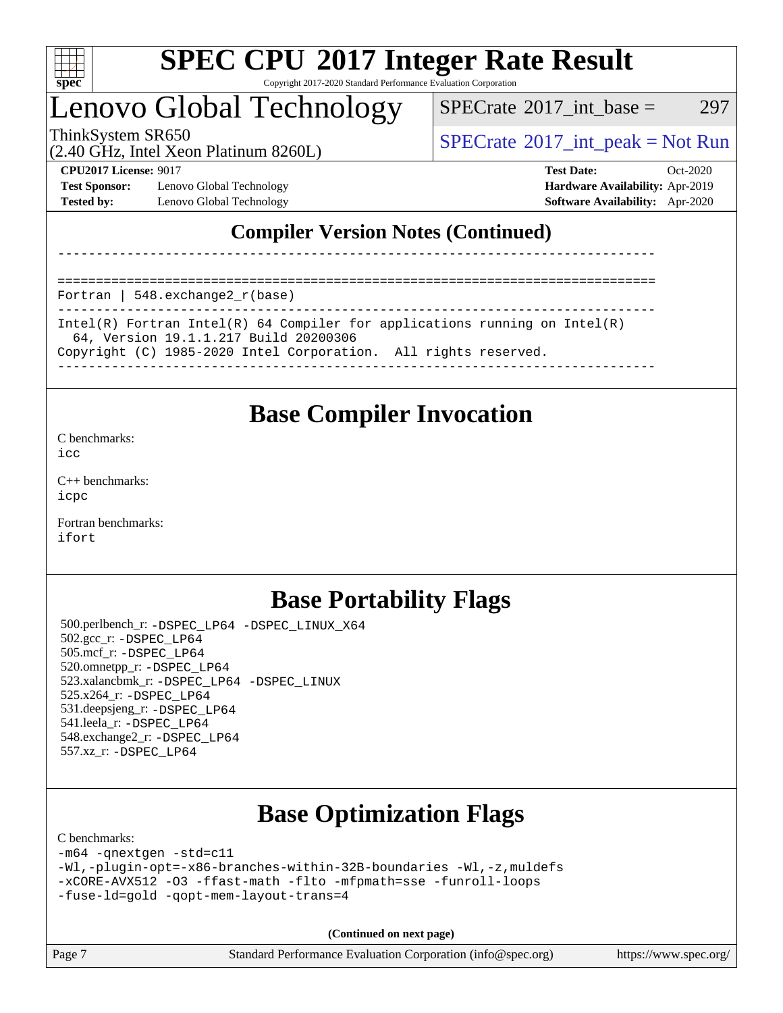

Copyright 2017-2020 Standard Performance Evaluation Corporation

### Lenovo Global Technology

 $SPECTate$ <sup>®</sup>[2017\\_int\\_base =](http://www.spec.org/auto/cpu2017/Docs/result-fields.html#SPECrate2017intbase) 297

(2.40 GHz, Intel Xeon Platinum 8260L)

ThinkSystem SR650<br>  $SPECTR_{1.}$  [SPECrate](http://www.spec.org/auto/cpu2017/Docs/result-fields.html#SPECrate2017intpeak)®[2017\\_int\\_peak = N](http://www.spec.org/auto/cpu2017/Docs/result-fields.html#SPECrate2017intpeak)ot Run

**[Test Sponsor:](http://www.spec.org/auto/cpu2017/Docs/result-fields.html#TestSponsor)** Lenovo Global Technology **[Hardware Availability:](http://www.spec.org/auto/cpu2017/Docs/result-fields.html#HardwareAvailability)** Apr-2019 **[Tested by:](http://www.spec.org/auto/cpu2017/Docs/result-fields.html#Testedby)** Lenovo Global Technology **[Software Availability:](http://www.spec.org/auto/cpu2017/Docs/result-fields.html#SoftwareAvailability)** Apr-2020

**[CPU2017 License:](http://www.spec.org/auto/cpu2017/Docs/result-fields.html#CPU2017License)** 9017 **[Test Date:](http://www.spec.org/auto/cpu2017/Docs/result-fields.html#TestDate)** Oct-2020

### **[Compiler Version Notes \(Continued\)](http://www.spec.org/auto/cpu2017/Docs/result-fields.html#CompilerVersionNotes)**

==============================================================================

Fortran | 548.exchange2\_r(base)

------------------------------------------------------------------------------ Intel(R) Fortran Intel(R) 64 Compiler for applications running on Intel(R) 64, Version 19.1.1.217 Build 20200306 Copyright (C) 1985-2020 Intel Corporation. All rights reserved.

------------------------------------------------------------------------------

------------------------------------------------------------------------------

### **[Base Compiler Invocation](http://www.spec.org/auto/cpu2017/Docs/result-fields.html#BaseCompilerInvocation)**

[C benchmarks](http://www.spec.org/auto/cpu2017/Docs/result-fields.html#Cbenchmarks):

[icc](http://www.spec.org/cpu2017/results/res2020q4/cpu2017-20201022-24233.flags.html#user_CCbase_intel_icc_66fc1ee009f7361af1fbd72ca7dcefbb700085f36577c54f309893dd4ec40d12360134090235512931783d35fd58c0460139e722d5067c5574d8eaf2b3e37e92)

[C++ benchmarks:](http://www.spec.org/auto/cpu2017/Docs/result-fields.html#CXXbenchmarks) [icpc](http://www.spec.org/cpu2017/results/res2020q4/cpu2017-20201022-24233.flags.html#user_CXXbase_intel_icpc_c510b6838c7f56d33e37e94d029a35b4a7bccf4766a728ee175e80a419847e808290a9b78be685c44ab727ea267ec2f070ec5dc83b407c0218cded6866a35d07)

[Fortran benchmarks](http://www.spec.org/auto/cpu2017/Docs/result-fields.html#Fortranbenchmarks): [ifort](http://www.spec.org/cpu2017/results/res2020q4/cpu2017-20201022-24233.flags.html#user_FCbase_intel_ifort_8111460550e3ca792625aed983ce982f94888b8b503583aa7ba2b8303487b4d8a21a13e7191a45c5fd58ff318f48f9492884d4413fa793fd88dd292cad7027ca)

### **[Base Portability Flags](http://www.spec.org/auto/cpu2017/Docs/result-fields.html#BasePortabilityFlags)**

 500.perlbench\_r: [-DSPEC\\_LP64](http://www.spec.org/cpu2017/results/res2020q4/cpu2017-20201022-24233.flags.html#b500.perlbench_r_basePORTABILITY_DSPEC_LP64) [-DSPEC\\_LINUX\\_X64](http://www.spec.org/cpu2017/results/res2020q4/cpu2017-20201022-24233.flags.html#b500.perlbench_r_baseCPORTABILITY_DSPEC_LINUX_X64) 502.gcc\_r: [-DSPEC\\_LP64](http://www.spec.org/cpu2017/results/res2020q4/cpu2017-20201022-24233.flags.html#suite_basePORTABILITY502_gcc_r_DSPEC_LP64) 505.mcf\_r: [-DSPEC\\_LP64](http://www.spec.org/cpu2017/results/res2020q4/cpu2017-20201022-24233.flags.html#suite_basePORTABILITY505_mcf_r_DSPEC_LP64) 520.omnetpp\_r: [-DSPEC\\_LP64](http://www.spec.org/cpu2017/results/res2020q4/cpu2017-20201022-24233.flags.html#suite_basePORTABILITY520_omnetpp_r_DSPEC_LP64) 523.xalancbmk\_r: [-DSPEC\\_LP64](http://www.spec.org/cpu2017/results/res2020q4/cpu2017-20201022-24233.flags.html#suite_basePORTABILITY523_xalancbmk_r_DSPEC_LP64) [-DSPEC\\_LINUX](http://www.spec.org/cpu2017/results/res2020q4/cpu2017-20201022-24233.flags.html#b523.xalancbmk_r_baseCXXPORTABILITY_DSPEC_LINUX) 525.x264\_r: [-DSPEC\\_LP64](http://www.spec.org/cpu2017/results/res2020q4/cpu2017-20201022-24233.flags.html#suite_basePORTABILITY525_x264_r_DSPEC_LP64) 531.deepsjeng\_r: [-DSPEC\\_LP64](http://www.spec.org/cpu2017/results/res2020q4/cpu2017-20201022-24233.flags.html#suite_basePORTABILITY531_deepsjeng_r_DSPEC_LP64) 541.leela\_r: [-DSPEC\\_LP64](http://www.spec.org/cpu2017/results/res2020q4/cpu2017-20201022-24233.flags.html#suite_basePORTABILITY541_leela_r_DSPEC_LP64) 548.exchange2\_r: [-DSPEC\\_LP64](http://www.spec.org/cpu2017/results/res2020q4/cpu2017-20201022-24233.flags.html#suite_basePORTABILITY548_exchange2_r_DSPEC_LP64) 557.xz\_r: [-DSPEC\\_LP64](http://www.spec.org/cpu2017/results/res2020q4/cpu2017-20201022-24233.flags.html#suite_basePORTABILITY557_xz_r_DSPEC_LP64)

### **[Base Optimization Flags](http://www.spec.org/auto/cpu2017/Docs/result-fields.html#BaseOptimizationFlags)**

[C benchmarks](http://www.spec.org/auto/cpu2017/Docs/result-fields.html#Cbenchmarks):

```
-m64 -qnextgen -std=c11
-Wl,-plugin-opt=-x86-branches-within-32B-boundaries -Wl,-z,muldefs
-xCORE-AVX512 -O3 -ffast-math -flto -mfpmath=sse -funroll-loops
-fuse-ld=gold -qopt-mem-layout-trans=4
```
**(Continued on next page)**

Page 7 Standard Performance Evaluation Corporation [\(info@spec.org\)](mailto:info@spec.org) <https://www.spec.org/>